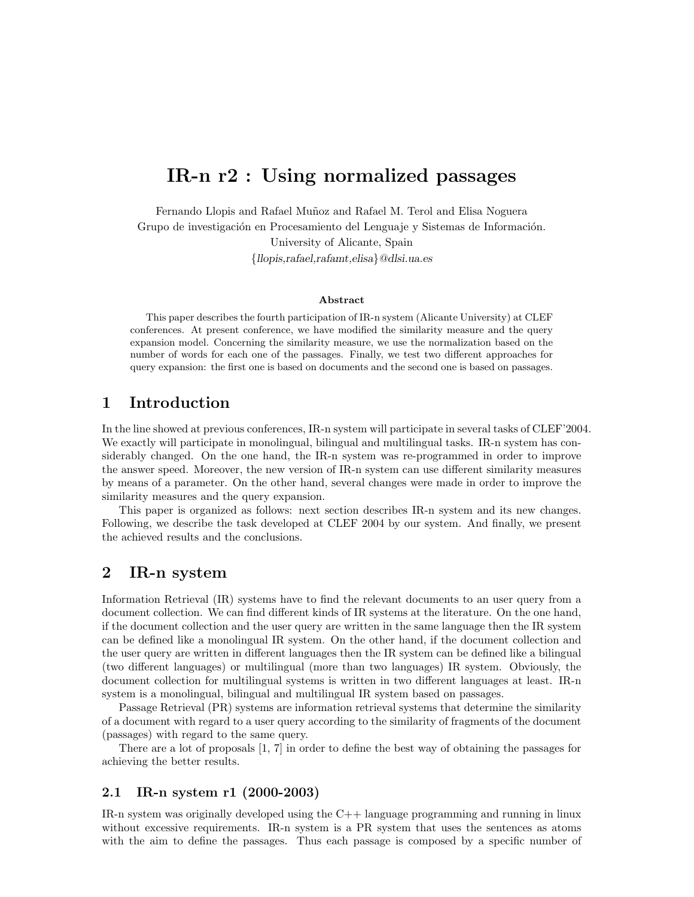# IR-n r2 : Using normalized passages

Fernando Llopis and Rafael Muñoz and Rafael M. Terol and Elisa Noguera Grupo de investigación en Procesamiento del Lenguaje y Sistemas de Información.

University of Alicante, Spain {llopis,rafael,rafamt,elisa}@dlsi.ua.es

#### Abstract

This paper describes the fourth participation of IR-n system (Alicante University) at CLEF conferences. At present conference, we have modified the similarity measure and the query expansion model. Concerning the similarity measure, we use the normalization based on the number of words for each one of the passages. Finally, we test two different approaches for query expansion: the first one is based on documents and the second one is based on passages.

## 1 Introduction

In the line showed at previous conferences, IR-n system will participate in several tasks of CLEF'2004. We exactly will participate in monolingual, bilingual and multilingual tasks. IR-n system has considerably changed. On the one hand, the IR-n system was re-programmed in order to improve the answer speed. Moreover, the new version of IR-n system can use different similarity measures by means of a parameter. On the other hand, several changes were made in order to improve the similarity measures and the query expansion.

This paper is organized as follows: next section describes IR-n system and its new changes. Following, we describe the task developed at CLEF 2004 by our system. And finally, we present the achieved results and the conclusions.

# 2 IR-n system

Information Retrieval (IR) systems have to find the relevant documents to an user query from a document collection. We can find different kinds of IR systems at the literature. On the one hand, if the document collection and the user query are written in the same language then the IR system can be defined like a monolingual IR system. On the other hand, if the document collection and the user query are written in different languages then the IR system can be defined like a bilingual (two different languages) or multilingual (more than two languages) IR system. Obviously, the document collection for multilingual systems is written in two different languages at least. IR-n system is a monolingual, bilingual and multilingual IR system based on passages.

Passage Retrieval (PR) systems are information retrieval systems that determine the similarity of a document with regard to a user query according to the similarity of fragments of the document (passages) with regard to the same query.

There are a lot of proposals [1, 7] in order to define the best way of obtaining the passages for achieving the better results.

#### 2.1 IR-n system r1 (2000-2003)

IR-n system was originally developed using the C++ language programming and running in linux without excessive requirements. IR-n system is a PR system that uses the sentences as atoms with the aim to define the passages. Thus each passage is composed by a specific number of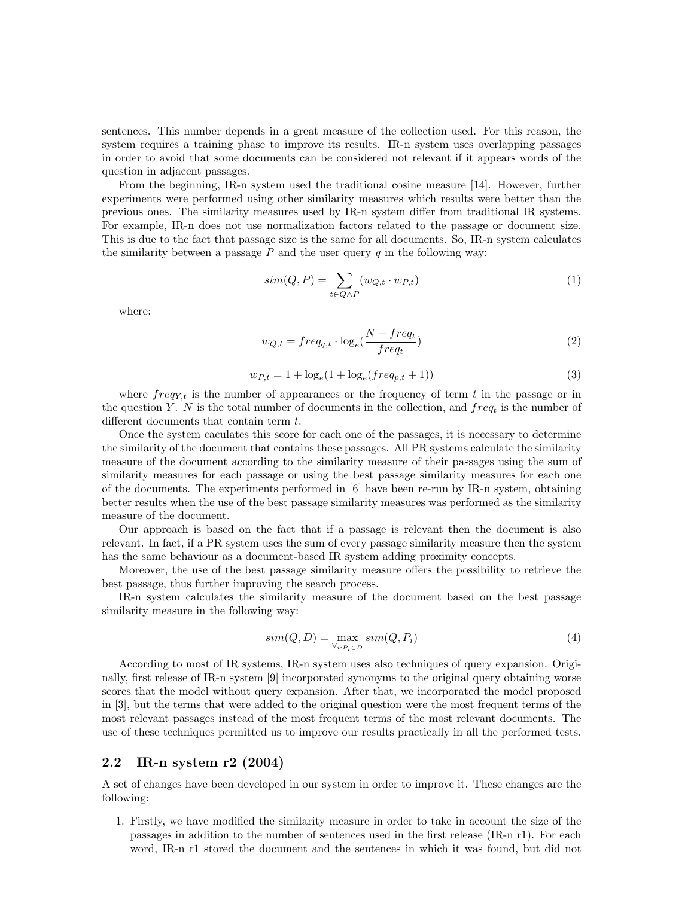sentences. This number depends in a great measure of the collection used. For this reason, the system requires a training phase to improve its results. IR-n system uses overlapping passages in order to avoid that some documents can be considered not relevant if it appears words of the question in adjacent passages.

From the beginning, IR-n system used the traditional cosine measure [14]. However, further experiments were performed using other similarity measures which results were better than the previous ones. The similarity measures used by IR-n system differ from traditional IR systems. For example, IR-n does not use normalization factors related to the passage or document size. This is due to the fact that passage size is the same for all documents. So, IR-n system calculates the similarity between a passage  $P$  and the user query  $q$  in the following way:

$$
sim(Q, P) = \sum_{t \in Q \land P} (w_{Q,t} \cdot w_{P,t})
$$
\n(1)

where:

$$
w_{Q,t} = freq_{q,t} \cdot \log_e(\frac{N - freq_t}{freq_t})
$$
\n
$$
(2)
$$

$$
w_{P,t} = 1 + \log_e(1 + \log_e(freq_{p,t} + 1))
$$
\n(3)

where  $freq_{Y,t}$  is the number of appearances or the frequency of term t in the passage or in the question Y. N is the total number of documents in the collection, and  $freq_t$  is the number of different documents that contain term t.

Once the system caculates this score for each one of the passages, it is necessary to determine the similarity of the document that contains these passages. All PR systems calculate the similarity measure of the document according to the similarity measure of their passages using the sum of similarity measures for each passage or using the best passage similarity measures for each one of the documents. The experiments performed in [6] have been re-run by IR-n system, obtaining better results when the use of the best passage similarity measures was performed as the similarity measure of the document.

Our approach is based on the fact that if a passage is relevant then the document is also relevant. In fact, if a PR system uses the sum of every passage similarity measure then the system has the same behaviour as a document-based IR system adding proximity concepts.

Moreover, the use of the best passage similarity measure offers the possibility to retrieve the best passage, thus further improving the search process.

IR-n system calculates the similarity measure of the document based on the best passage similarity measure in the following way:

$$
sim(Q, D) = \max_{\forall_i, P_i \in D} sim(Q, P_i)
$$
\n(4)

According to most of IR systems, IR-n system uses also techniques of query expansion. Originally, first release of IR-n system [9] incorporated synonyms to the original query obtaining worse scores that the model without query expansion. After that, we incorporated the model proposed in [3], but the terms that were added to the original question were the most frequent terms of the most relevant passages instead of the most frequent terms of the most relevant documents. The use of these techniques permitted us to improve our results practically in all the performed tests.

#### 2.2 IR-n system r2 (2004)

A set of changes have been developed in our system in order to improve it. These changes are the following:

1. Firstly, we have modified the similarity measure in order to take in account the size of the passages in addition to the number of sentences used in the first release (IR-n r1). For each word, IR-n r1 stored the document and the sentences in which it was found, but did not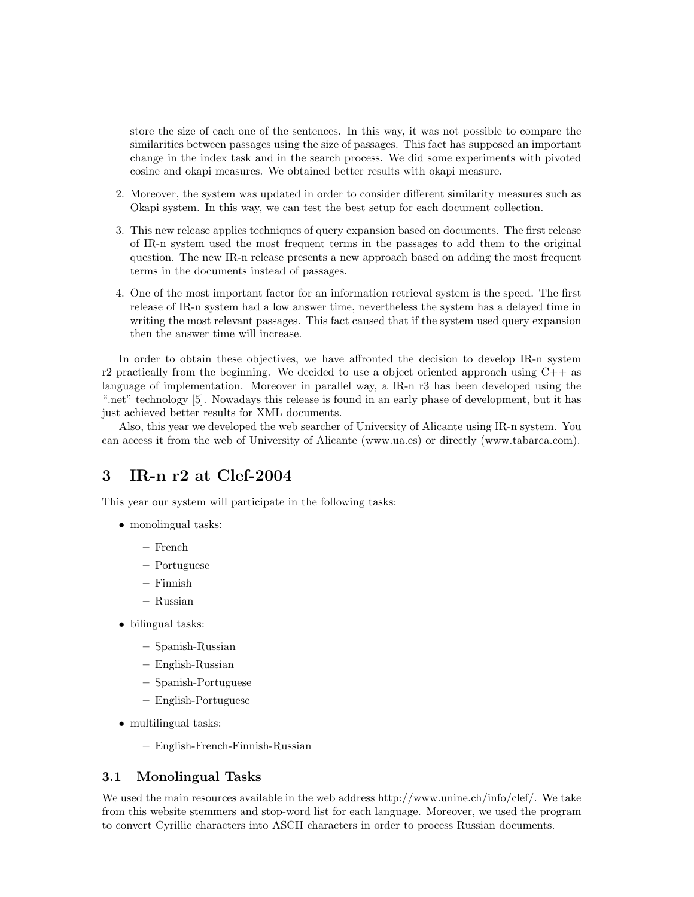store the size of each one of the sentences. In this way, it was not possible to compare the similarities between passages using the size of passages. This fact has supposed an important change in the index task and in the search process. We did some experiments with pivoted cosine and okapi measures. We obtained better results with okapi measure.

- 2. Moreover, the system was updated in order to consider different similarity measures such as Okapi system. In this way, we can test the best setup for each document collection.
- 3. This new release applies techniques of query expansion based on documents. The first release of IR-n system used the most frequent terms in the passages to add them to the original question. The new IR-n release presents a new approach based on adding the most frequent terms in the documents instead of passages.
- 4. One of the most important factor for an information retrieval system is the speed. The first release of IR-n system had a low answer time, nevertheless the system has a delayed time in writing the most relevant passages. This fact caused that if the system used query expansion then the answer time will increase.

In order to obtain these objectives, we have affronted the decision to develop IR-n system r2 practically from the beginning. We decided to use a object oriented approach using  $C++$  as language of implementation. Moreover in parallel way, a IR-n r3 has been developed using the ".net" technology [5]. Nowadays this release is found in an early phase of development, but it has just achieved better results for XML documents.

Also, this year we developed the web searcher of University of Alicante using IR-n system. You can access it from the web of University of Alicante (www.ua.es) or directly (www.tabarca.com).

# 3 IR-n r2 at Clef-2004

This year our system will participate in the following tasks:

- monolingual tasks:
	- French
	- Portuguese
	- Finnish
	- Russian
- bilingual tasks:
	- Spanish-Russian
	- English-Russian
	- Spanish-Portuguese
	- English-Portuguese
- multilingual tasks:
	- English-French-Finnish-Russian

#### 3.1 Monolingual Tasks

We used the main resources available in the web address http://www.unine.ch/info/clef/. We take from this website stemmers and stop-word list for each language. Moreover, we used the program to convert Cyrillic characters into ASCII characters in order to process Russian documents.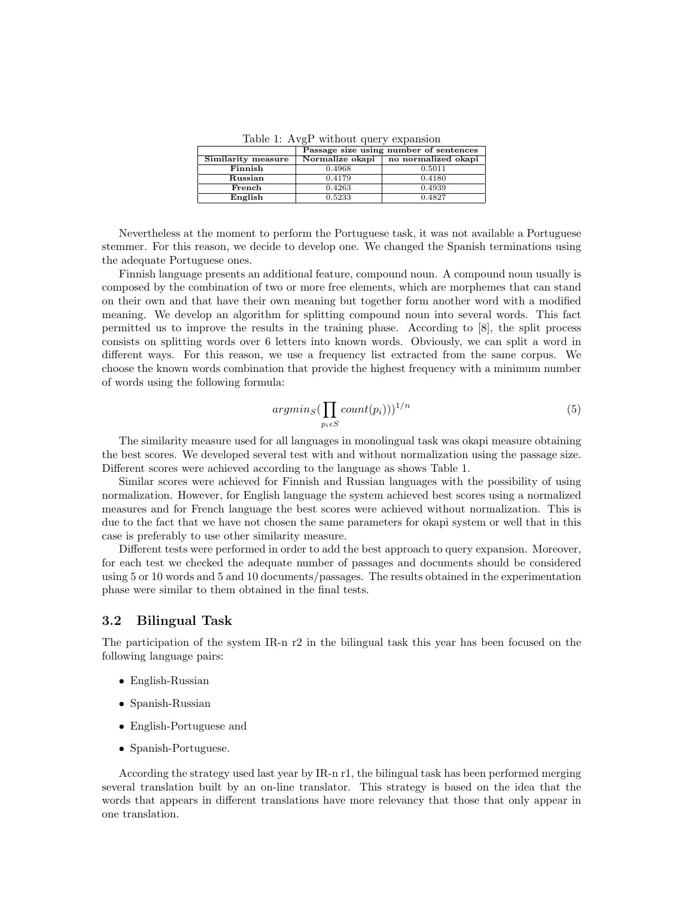Table 1: AvgP without query expansion

|                    | Passage size using number of sentences |                     |
|--------------------|----------------------------------------|---------------------|
| Similarity measure | Normalize okapi                        | no normalized okapi |
| Finnish            | 0.4968                                 | 0.5011              |
| Russian            | 0.4179                                 | 0.4180              |
| French             | 0.4263                                 | 0.4939              |
| English            | 0.5233                                 | 0.4827              |

Nevertheless at the moment to perform the Portuguese task, it was not available a Portuguese stemmer. For this reason, we decide to develop one. We changed the Spanish terminations using the adequate Portuguese ones.

Finnish language presents an additional feature, compound noun. A compound noun usually is composed by the combination of two or more free elements, which are morphemes that can stand on their own and that have their own meaning but together form another word with a modified meaning. We develop an algorithm for splitting compound noun into several words. This fact permitted us to improve the results in the training phase. According to [8], the split process consists on splitting words over 6 letters into known words. Obviously, we can split a word in different ways. For this reason, we use a frequency list extracted from the same corpus. We choose the known words combination that provide the highest frequency with a minimum number of words using the following formula:

$$
argmin_{S} (\prod_{p_i \in S} count(p_i)))^{1/n}
$$
 (5)

The similarity measure used for all languages in monolingual task was okapi measure obtaining the best scores. We developed several test with and without normalization using the passage size. Different scores were achieved according to the language as shows Table 1.

Similar scores were achieved for Finnish and Russian languages with the possibility of using normalization. However, for English language the system achieved best scores using a normalized measures and for French language the best scores were achieved without normalization. This is due to the fact that we have not chosen the same parameters for okapi system or well that in this case is preferably to use other similarity measure.

Different tests were performed in order to add the best approach to query expansion. Moreover, for each test we checked the adequate number of passages and documents should be considered using 5 or 10 words and 5 and 10 documents/passages. The results obtained in the experimentation phase were similar to them obtained in the final tests.

#### 3.2 Bilingual Task

The participation of the system IR-n r2 in the bilingual task this year has been focused on the following language pairs:

- English-Russian
- Spanish-Russian
- English-Portuguese and
- Spanish-Portuguese.

According the strategy used last year by IR-n r1, the bilingual task has been performed merging several translation built by an on-line translator. This strategy is based on the idea that the words that appears in different translations have more relevancy that those that only appear in one translation.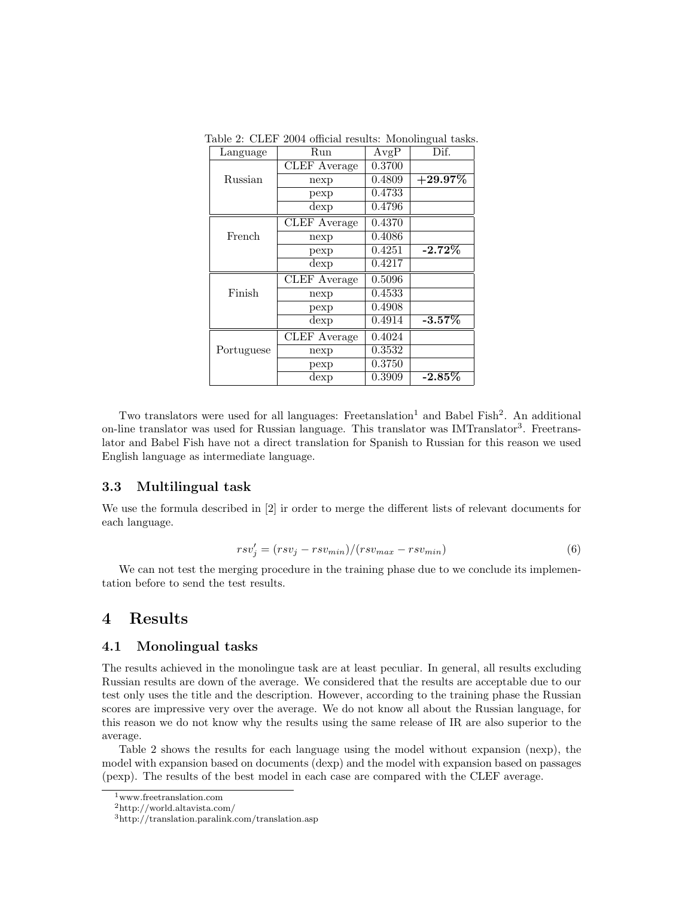| Language   | Run                             | AvgP   | Dif.       |
|------------|---------------------------------|--------|------------|
|            | <b>CLEF</b> Average             | 0.3700 |            |
| Russian    | nexp                            | 0.4809 | $+29.97\%$ |
|            | pexp                            | 0.4733 |            |
|            | dexp                            | 0.4796 |            |
|            | <b>CLEF</b> Average             | 0.4370 |            |
| French     | nexp                            | 0.4086 |            |
|            | pexp                            | 0.4251 | $-2.72%$   |
|            | dexp                            | 0.4217 |            |
|            | <b>CLEF</b> Average             | 0.5096 |            |
| Finish     | nexp                            | 0.4533 |            |
|            | pexp                            | 0.4908 |            |
|            | $\overline{\text{d}}\text{exp}$ | 0.4914 | $-3.57\%$  |
|            | <b>CLEF</b> Average             | 0.4024 |            |
| Portuguese | nexp                            | 0.3532 |            |
|            | pexp                            | 0.3750 |            |
|            | dexp                            | 0.3909 | -2.85 $\%$ |

Table 2: CLEF 2004 official results: Monolingual tasks.

Two translators were used for all languages: Freetanslation<sup>1</sup> and Babel Fish<sup>2</sup>. An additional on-line translator was used for Russian language. This translator was IMTranslator<sup>3</sup>. Freetranslator and Babel Fish have not a direct translation for Spanish to Russian for this reason we used English language as intermediate language.

#### 3.3 Multilingual task

We use the formula described in [2] ir order to merge the different lists of relevant documents for each language.

$$
rsv'_{j} = (rsv_{j} - rsv_{min})/(rsv_{max} - rsv_{min})
$$
\n(6)

We can not test the merging procedure in the training phase due to we conclude its implementation before to send the test results.

### 4 Results

#### 4.1 Monolingual tasks

The results achieved in the monolingue task are at least peculiar. In general, all results excluding Russian results are down of the average. We considered that the results are acceptable due to our test only uses the title and the description. However, according to the training phase the Russian scores are impressive very over the average. We do not know all about the Russian language, for this reason we do not know why the results using the same release of IR are also superior to the average.

Table 2 shows the results for each language using the model without expansion (nexp), the model with expansion based on documents (dexp) and the model with expansion based on passages (pexp). The results of the best model in each case are compared with the CLEF average.

<sup>1</sup>www.freetranslation.com

 $\mathrm{^{2}http://world.altavista.com/}$ 

<sup>3</sup>http://translation.paralink.com/translation.asp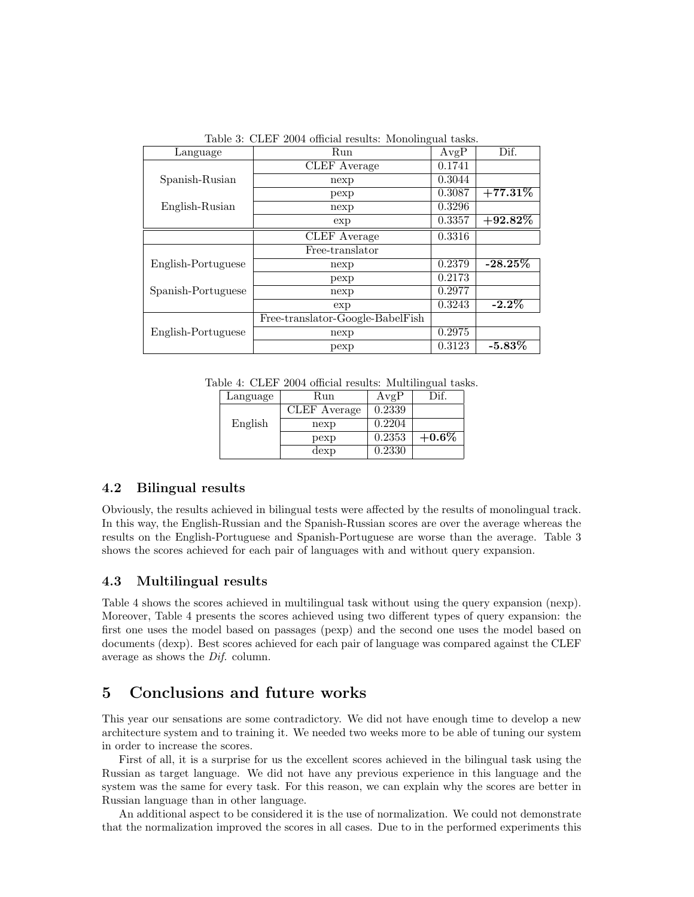Table 3: CLEF 2004 official results: Monolingual tasks.

| Language           | Run                              | AvgP   | Dif.       |
|--------------------|----------------------------------|--------|------------|
|                    | <b>CLEF</b> Average              | 0.1741 |            |
| Spanish-Rusian     | nexp                             | 0.3044 |            |
|                    | pexp                             | 0.3087 | $+77.31\%$ |
| English-Rusian     | nexp                             | 0.3296 |            |
|                    | exp                              | 0.3357 | $+92.82\%$ |
|                    | <b>CLEF</b> Average              | 0.3316 |            |
|                    | Free-translator                  |        |            |
| English-Portuguese | nexp                             | 0.2379 | $-28.25\%$ |
|                    | pexp                             | 0.2173 |            |
| Spanish-Portuguese | nexp                             | 0.2977 |            |
|                    | exp                              | 0.3243 | $-2.2\%$   |
|                    | Free-translator-Google-BabelFish |        |            |
| English-Portuguese | nexp                             | 0.2975 |            |
|                    | pexp                             | 0.3123 | $-5.83\%$  |

Table 4: CLEF 2004 official results: Multilingual tasks.

| Language | Run          | AvgP   | )if      |
|----------|--------------|--------|----------|
|          | CLEF Average | 0.2339 |          |
| English  | nexp         | 0.2204 |          |
|          | pexp         | 0.2353 | $+0.6\%$ |
|          | dexp         | 0.2330 |          |

#### 4.2 Bilingual results

Obviously, the results achieved in bilingual tests were affected by the results of monolingual track. In this way, the English-Russian and the Spanish-Russian scores are over the average whereas the results on the English-Portuguese and Spanish-Portuguese are worse than the average. Table 3 shows the scores achieved for each pair of languages with and without query expansion.

#### 4.3 Multilingual results

Table 4 shows the scores achieved in multilingual task without using the query expansion (nexp). Moreover, Table 4 presents the scores achieved using two different types of query expansion: the first one uses the model based on passages (pexp) and the second one uses the model based on documents (dexp). Best scores achieved for each pair of language was compared against the CLEF average as shows the Dif. column.

# 5 Conclusions and future works

This year our sensations are some contradictory. We did not have enough time to develop a new architecture system and to training it. We needed two weeks more to be able of tuning our system in order to increase the scores.

First of all, it is a surprise for us the excellent scores achieved in the bilingual task using the Russian as target language. We did not have any previous experience in this language and the system was the same for every task. For this reason, we can explain why the scores are better in Russian language than in other language.

An additional aspect to be considered it is the use of normalization. We could not demonstrate that the normalization improved the scores in all cases. Due to in the performed experiments this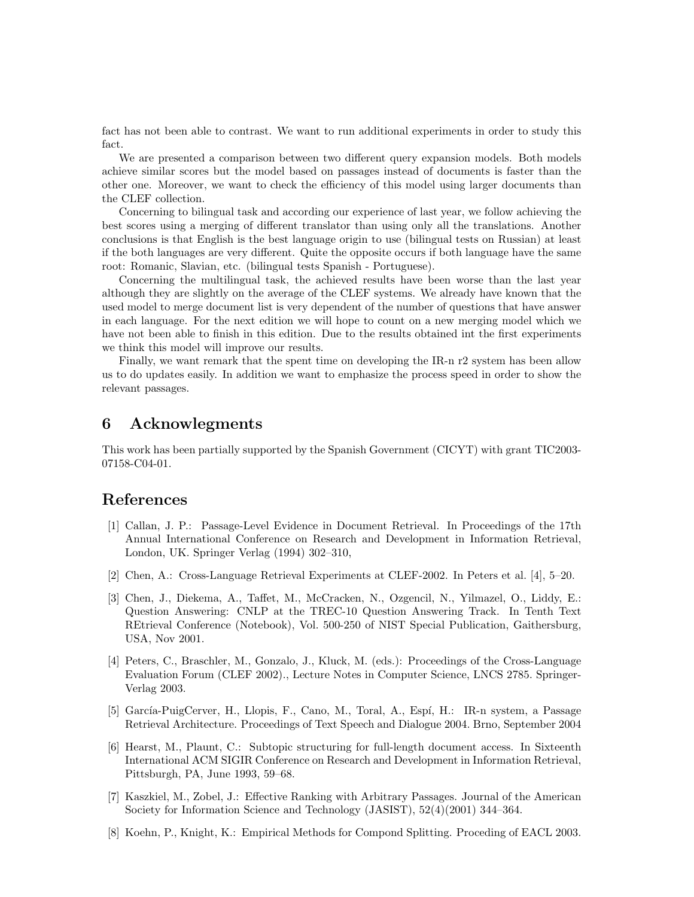fact has not been able to contrast. We want to run additional experiments in order to study this fact.

We are presented a comparison between two different query expansion models. Both models achieve similar scores but the model based on passages instead of documents is faster than the other one. Moreover, we want to check the efficiency of this model using larger documents than the CLEF collection.

Concerning to bilingual task and according our experience of last year, we follow achieving the best scores using a merging of different translator than using only all the translations. Another conclusions is that English is the best language origin to use (bilingual tests on Russian) at least if the both languages are very different. Quite the opposite occurs if both language have the same root: Romanic, Slavian, etc. (bilingual tests Spanish - Portuguese).

Concerning the multilingual task, the achieved results have been worse than the last year although they are slightly on the average of the CLEF systems. We already have known that the used model to merge document list is very dependent of the number of questions that have answer in each language. For the next edition we will hope to count on a new merging model which we have not been able to finish in this edition. Due to the results obtained int the first experiments we think this model will improve our results.

Finally, we want remark that the spent time on developing the IR-n r2 system has been allow us to do updates easily. In addition we want to emphasize the process speed in order to show the relevant passages.

## 6 Acknowlegments

This work has been partially supported by the Spanish Government (CICYT) with grant TIC2003- 07158-C04-01.

## References

- [1] Callan, J. P.: Passage-Level Evidence in Document Retrieval. In Proceedings of the 17th Annual International Conference on Research and Development in Information Retrieval, London, UK. Springer Verlag (1994) 302–310,
- [2] Chen, A.: Cross-Language Retrieval Experiments at CLEF-2002. In Peters et al. [4], 5–20.
- [3] Chen, J., Diekema, A., Taffet, M., McCracken, N., Ozgencil, N., Yilmazel, O., Liddy, E.: Question Answering: CNLP at the TREC-10 Question Answering Track. In Tenth Text REtrieval Conference (Notebook), Vol. 500-250 of NIST Special Publication, Gaithersburg, USA, Nov 2001.
- [4] Peters, C., Braschler, M., Gonzalo, J., Kluck, M. (eds.): Proceedings of the Cross-Language Evaluation Forum (CLEF 2002)., Lecture Notes in Computer Science, LNCS 2785. Springer-Verlag 2003.
- [5] García-PuigCerver, H., Llopis, F., Cano, M., Toral, A., Espí, H.: IR-n system, a Passage Retrieval Architecture. Proceedings of Text Speech and Dialogue 2004. Brno, September 2004
- [6] Hearst, M., Plaunt, C.: Subtopic structuring for full-length document access. In Sixteenth International ACM SIGIR Conference on Research and Development in Information Retrieval, Pittsburgh, PA, June 1993, 59–68.
- [7] Kaszkiel, M., Zobel, J.: Effective Ranking with Arbitrary Passages. Journal of the American Society for Information Science and Technology (JASIST), 52(4)(2001) 344–364.
- [8] Koehn, P., Knight, K.: Empirical Methods for Compond Splitting. Proceding of EACL 2003.